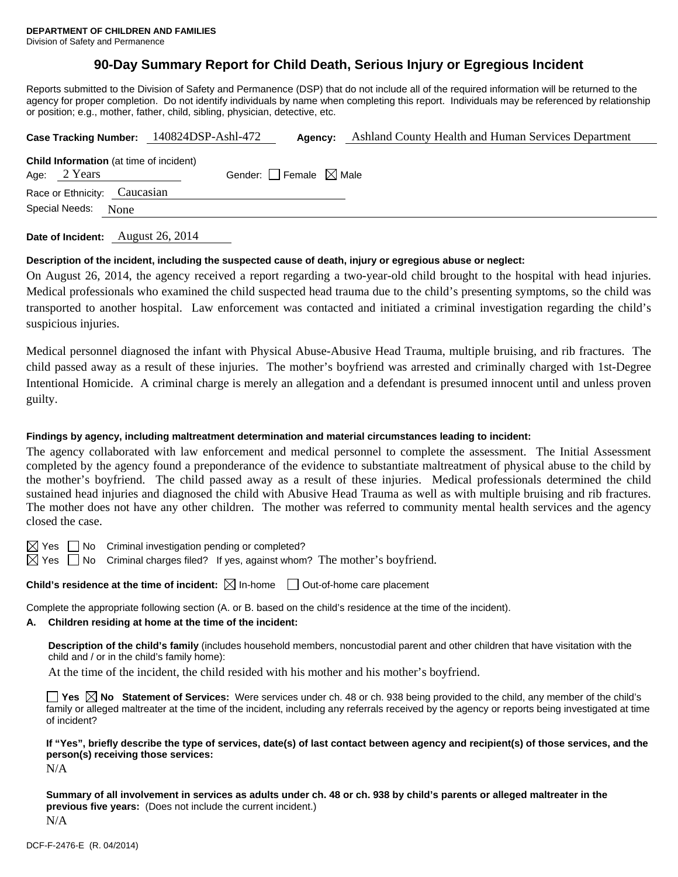## **90-Day Summary Report for Child Death, Serious Injury or Egregious Incident**

Reports submitted to the Division of Safety and Permanence (DSP) that do not include all of the required information will be returned to the agency for proper completion. Do not identify individuals by name when completing this report. Individuals may be referenced by relationship or position; e.g., mother, father, child, sibling, physician, detective, etc.

|                                                                                                     | Case Tracking Number: 140824DSP-Ashl-472 | Agency: | Ashland County Health and Human Services Department |  |  |
|-----------------------------------------------------------------------------------------------------|------------------------------------------|---------|-----------------------------------------------------|--|--|
| <b>Child Information</b> (at time of incident)<br>Gender: Female $\boxtimes$ Male<br>Age: $2$ Years |                                          |         |                                                     |  |  |
| Race or Ethnicity: Caucasian                                                                        |                                          |         |                                                     |  |  |
| Special Needs:<br>None                                                                              |                                          |         |                                                     |  |  |
|                                                                                                     |                                          |         |                                                     |  |  |

**Date of Incident:** August 26, 2014

#### **Description of the incident, including the suspected cause of death, injury or egregious abuse or neglect:**

On August 26, 2014, the agency received a report regarding a two-year-old child brought to the hospital with head injuries. Medical professionals who examined the child suspected head trauma due to the child's presenting symptoms, so the child was transported to another hospital. Law enforcement was contacted and initiated a criminal investigation regarding the child's suspicious injuries.

Medical personnel diagnosed the infant with Physical Abuse-Abusive Head Trauma, multiple bruising, and rib fractures. The child passed away as a result of these injuries. The mother's boyfriend was arrested and criminally charged with 1st-Degree Intentional Homicide. A criminal charge is merely an allegation and a defendant is presumed innocent until and unless proven guilty.

#### **Findings by agency, including maltreatment determination and material circumstances leading to incident:**

The agency collaborated with law enforcement and medical personnel to complete the assessment. The Initial Assessment completed by the agency found a preponderance of the evidence to substantiate maltreatment of physical abuse to the child by the mother's boyfriend. The child passed away as a result of these injuries. Medical professionals determined the child sustained head injuries and diagnosed the child with Abusive Head Trauma as well as with multiple bruising and rib fractures. The mother does not have any other children. The mother was referred to community mental health services and the agency closed the case.

 $\boxtimes$  Yes  $\Box$  No Criminal investigation pending or completed?

 $\boxtimes$  Yes  $\Box$  No Criminal charges filed? If yes, against whom? The mother's boyfriend.

#### **Child's residence at the time of incident:**  $\boxtimes$  In-home  $\Box$  Out-of-home care placement

Complete the appropriate following section (A. or B. based on the child's residence at the time of the incident).

## **A. Children residing at home at the time of the incident:**

**Description of the child's family** (includes household members, noncustodial parent and other children that have visitation with the child and / or in the child's family home):

At the time of the incident, the child resided with his mother and his mother's boyfriend.

**Yes**  $\boxtimes$  **No** Statement of Services: Were services under ch. 48 or ch. 938 being provided to the child, any member of the child's family or alleged maltreater at the time of the incident, including any referrals received by the agency or reports being investigated at time of incident?

**If "Yes", briefly describe the type of services, date(s) of last contact between agency and recipient(s) of those services, and the person(s) receiving those services:** 

N/A

**Summary of all involvement in services as adults under ch. 48 or ch. 938 by child's parents or alleged maltreater in the previous five years:** (Does not include the current incident.) N/A